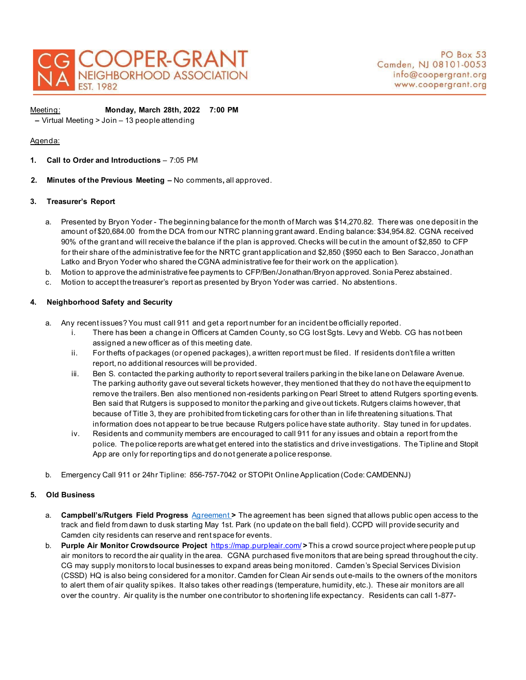

Meeting: **Monday, March 28th, 2022 7:00 PM** 

**–** Virtual Meeting > Join – 13 people attending

## Agenda:

- **1. Call to Order and Introductions**  7:05 PM
- **2. Minutes of the Previous Meeting** No comments**,** all approved.

## **3. Treasurer's Report**

- a. Presented by Bryon Yoder The beginning balance for the month of March was \$14,270.82. There was one deposit in the amount of \$20,684.00 from the DCA from our NTRC planning grant award. Ending balance: \$34,954.82. CGNA received 90% of the grant and will receive the balance if the plan is approved. Checks will be cut in the amount of \$2,850 to CFP for their share of the administrative fee for the NRTC grant application and \$2,850 (\$950 each to Ben Saracco, Jonathan Latko and Bryon Yoder who shared the CGNA administrative fee for their work on the application).
- b. Motion to approve the administrative fee payments to CFP/Ben/Jonathan/Bryon approved. Sonia Perez abstained.
- c. Motion to accept the treasurer's report as presented by Bryon Yoder was carried. No abstentions.

# **4. Neighborhood Safety and Security**

- a. Any recent issues? You must call 911 and get a report number for an incident be officially reported.
	- i. There has been a change in Officers at Camden County, so CG lost Sgts. Levy and Webb. CG has not been assigned a new officer as of this meeting date.
	- ii. For thefts of packages (or opened packages), a written report must be filed. If residents don't file a written report, no additional resources will be provided.
	- iii. Ben S. contacted the parking authority to report several trailers parking in the bike lane on Delaware Avenue. The parking authority gave out several tickets however, they mentioned that they do not have the equipment to remove the trailers. Ben also mentioned non-residents parking on Pearl Street to attend Rutgers sporting events. Ben said that Rutgers is supposed to monitor the parking and give out tickets. Rutgers claims however, that because of Title 3, they are prohibited from ticketing cars for other than in life threatening situations. That information does not appear to be true because Rutgers police have state authority. Stay tuned in for updates.
	- iv. Residents and community members are encouraged to call 911 for any issues and obtain a report from the police. The police reports are what get entered into the statistics and drive investigations. The Tipline and Stopit App are only for reporting tips and do not generate a police response.
- b. Emergency Call 911 or 24hr Tipline: 856-757-7042 or STOPit Online Application (Code: CAMDENNJ)

### **5. Old Business**

- a. **Campbell's/Rutgers Field Progress** [Agreement](https://opramachine.com/request/28993/response/51674/attach/4/Use%20and%20Access%20Agreement%20Camden%20Athletic%20Fields%20FULLY%20EXECUTED.pdf?cookie_passthrough=1) **>** The agreement has been signed that allows public open access to the track and field from dawn to dusk starting May 1st. Park (no update on the ball field). CCPD will provide security and Camden city residents can reserve and rent space for events.
- b. **Purple Air Monitor Crowdsource Project** <https://map.purpleair.com/> **>** This a crowd source project where people put up air monitors to record the air quality in the area. CGNA purchased five monitors that are being spread throughout the city. CG may supply monitors to local businesses to expand areas being monitored. Camden's Special Services Division (CSSD) HQ is also being considered for a monitor. Camden for Clean Air sends out e-mails to the owners of the monitors to alert them of air quality spikes. It also takes other readings (temperature, humidity, etc.). These air monitors are all over the country. Air quality is the number one contributor to shortening life expectancy. Residents can call 1-877-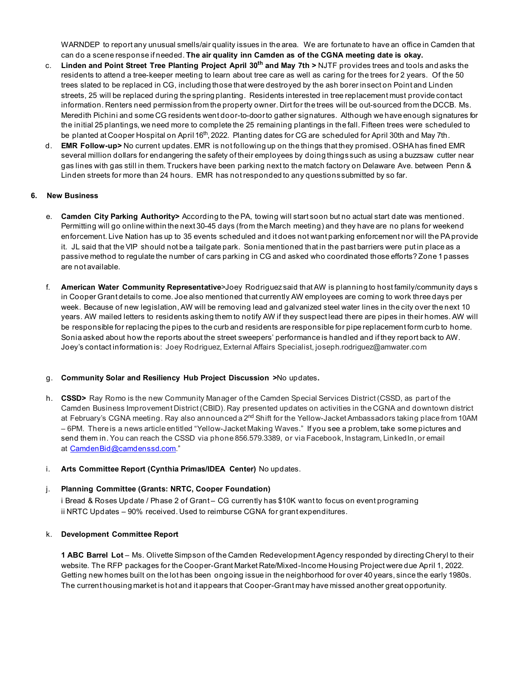WARNDEP to report any unusual smells/air quality issues in the area. We are fortunate to have an office in Camden that can do a scene response if needed. **The air quality inn Camden as of the CGNA meeting date is okay.**

- c. **Linden and Point Street Tree Planting Project April 30th and May 7th >** NJTF provides trees and tools and asks the residents to attend a tree-keeper meeting to learn about tree care as well as caring for the trees for 2 years. Of the 50 trees slated to be replaced in CG, including those that were destroyed by the ash borer insect on Point and Linden streets, 25 will be replaced during the spring planting. Residents interested in tree replacement must provide contact information. Renters need permission from the property owner. Dirt for the trees will be out-sourced from the DCCB. Ms. Meredith Pichini and some CG residents went door-to-door to gather signatures. Although we have enough signatures for the initial 25 plantings, we need more to complete the 25 remaining plantings in the fall. Fifteen trees were scheduled to be planted at Cooper Hospital on April 16<sup>th</sup>, 2022. Planting dates for CG are scheduled for April 30th and May 7th.
- d. **EMR Follow-up>** No current updates. EMR is not following up on the things that they promised. OSHA has fined EMR several million dollars for endangering the safety of their employees by doing things such as using a buzzsaw cutter near gas lines with gas still in them. Truckers have been parking next to the match factory on Delaware Ave. between Penn & Linden streets for more than 24 hours. EMR has not responded to any questions submitted by so far.

### **6. New Business**

- e. **Camden City Parking Authority>** According to the PA, towing will start soon but no actual start date was mentioned. Permitting will go online within the next 30-45 days (from the March meeting) and they have are no plans for weekend enforcement. Live Nation has up to 35 events scheduled and it does not want parking enforcement nor will the PA provide it. JL said that the VIP should not be a tailgate park. Sonia mentioned that in the past barriers were put in place as a passive method to regulate the number of cars parking in CG and asked who coordinated those efforts? Zone 1 passes are not available.
- f. **American Water Community Representative**>Joey Rodriguez said that AW is planning to host family/community days s in Cooper Grant details to come. Joe also mentioned that currently AW employees are coming to work three days per week. Because of new legislation, AW will be removing lead and galvanized steel water lines in the city over the next 10 years. AW mailed letters to residents asking them to notify AW if they suspect lead there are pipes in their homes. AW will be responsible for replacing the pipes to the curb and residents are responsible for pipe replacement form curb to home. Sonia asked about how the reports about the street sweepers' performance is handled and if they report back to AW. Joey's contact information is: Joey Rodriguez, External Affairs Specialist, joseph.rodriguez@amwater.com

### g. **Community Solar and Resiliency Hub Project Discussion >**No updates**.**

h. **CSSD>** Ray Romo is the new Community Manager of the Camden Special Services District (CSSD, as part of the Camden Business Improvement District (CBID). Ray presented updates on activities in the CGNA and downtown district at February's CGNA meeting. Ray also announced a 2<sup>nd</sup> Shift for the Yellow-Jacket Ambassadors taking place from 10AM – 6PM. There is a news article entitled "Yellow-Jacket Making Waves." If you see a problem, take some pictures and send them in. You can reach the CSSD via phone 856.579.3389, or via Facebook, Instagram, LinkedIn, or email at [CamdenBid@camdenssd.com.](mailto:CamdenBid@camdenssd.com)"

### i. **Arts Committee Report (Cynthia Primas/IDEA Center)** No updates.

# j. **Planning Committee (Grants: NRTC, Cooper Foundation)**

i Bread & Roses Update / Phase 2 of Grant – CG currently has \$10K want to focus on event programing ii NRTC Updates – 90% received. Used to reimburse CGNA for grant expenditures.

### k. **Development Committee Report**

**1 ABC Barrel Lot** – Ms. Olivette Simpson of the Camden Redevelopment Agency responded by directing Cheryl to their website. The RFP packages for the Cooper-Grant Market Rate/Mixed-Income Housing Project were due April 1, 2022. Getting new homes built on the lot has been ongoing issue in the neighborhood for over 40 years, since the early 1980s. The current housing market is hot and it appears that Cooper-Grant may have missed another great opportunity.